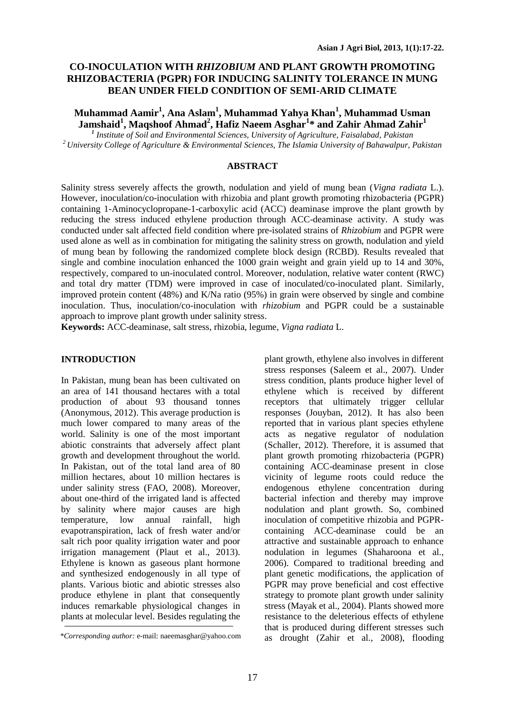# **CO-INOCULATION WITH** *RHIZOBIUM* **AND PLANT GROWTH PROMOTING RHIZOBACTERIA (PGPR) FOR INDUCING SALINITY TOLERANCE IN MUNG BEAN UNDER FIELD CONDITION OF SEMI-ARID CLIMATE**

**Muhammad Aamir<sup>1</sup> , Ana Aslam<sup>1</sup> , Muhammad Yahya Khan<sup>1</sup> , Muhammad Usman Jamshaid<sup>1</sup> , Maqshoof Ahmad<sup>2</sup> , Hafiz Naeem Asghar<sup>1</sup> \* and Zahir Ahmad Zahir<sup>1</sup>**

*1 Institute of Soil and Environmental Sciences, University of Agriculture, Faisalabad, Pakistan <sup>2</sup> University College of Agriculture & Environmental Sciences, The Islamia University of Bahawalpur, Pakistan*

### **ABSTRACT**

Salinity stress severely affects the growth, nodulation and yield of mung bean (*Vigna radiata* L.). However, inoculation/co-inoculation with rhizobia and plant growth promoting rhizobacteria (PGPR) containing 1-Aminocyclopropane-1-carboxylic acid (ACC) deaminase improve the plant growth by reducing the stress induced ethylene production through ACC-deaminase activity. A study was conducted under salt affected field condition where pre-isolated strains of *Rhizobium* and PGPR were used alone as well as in combination for mitigating the salinity stress on growth, nodulation and yield of mung bean by following the randomized complete block design (RCBD). Results revealed that single and combine inoculation enhanced the 1000 grain weight and grain yield up to 14 and 30%, respectively, compared to un-inoculated control. Moreover, nodulation, relative water content (RWC) and total dry matter (TDM) were improved in case of inoculated/co-inoculated plant. Similarly, improved protein content (48%) and K/Na ratio (95%) in grain were observed by single and combine inoculation. Thus, inoculation/co-inoculation with *rhizobium* and PGPR could be a sustainable approach to improve plant growth under salinity stress.

**Keywords:** ACC-deaminase, salt stress, rhizobia, legume, *Vigna radiata* L.

### **INTRODUCTION**

In Pakistan, mung bean has been cultivated on an area of 141 thousand hectares with a total production of about 93 thousand tonnes (Anonymous, 2012). This average production is much lower compared to many areas of the world. Salinity is one of the most important abiotic constraints that adversely affect plant growth and development throughout the world. In Pakistan, out of the total land area of 80 million hectares, about 10 million hectares is under salinity stress (FAO, 2008). Moreover, about one-third of the irrigated land is affected by salinity where major causes are high temperature, low annual rainfall, high evapotranspiration, lack of fresh water and/or salt rich poor quality irrigation water and poor irrigation management (Plaut et al., 2013). Ethylene is known as gaseous plant hormone and synthesized endogenously in all type of plants. Various biotic and abiotic stresses also produce ethylene in plant that consequently induces remarkable physiological changes in plants at molecular level. Besides regulating the

plant growth, ethylene also involves in different stress responses (Saleem et al., 2007). Under stress condition, plants produce higher level of ethylene which is received by different receptors that ultimately trigger cellular responses (Jouyban, 2012). It has also been reported that in various plant species ethylene acts as negative regulator of nodulation (Schaller, 2012). Therefore, it is assumed that plant growth promoting rhizobacteria (PGPR) containing ACC-deaminase present in close vicinity of legume roots could reduce the endogenous ethylene concentration during bacterial infection and thereby may improve nodulation and plant growth. So, combined inoculation of competitive rhizobia and PGPRcontaining ACC-deaminase could be an attractive and sustainable approach to enhance nodulation in legumes (Shaharoona et al*.*, 2006). Compared to traditional breeding and plant genetic modifications, the application of PGPR may prove beneficial and cost effective strategy to promote plant growth under salinity stress (Mayak et al., 2004). Plants showed more resistance to the deleterious effects of ethylene that is produced during different stresses such as drought (Zahir et al., 2008), flooding *\*Corresponding author:* e-mail: naeemasghar@yahoo.com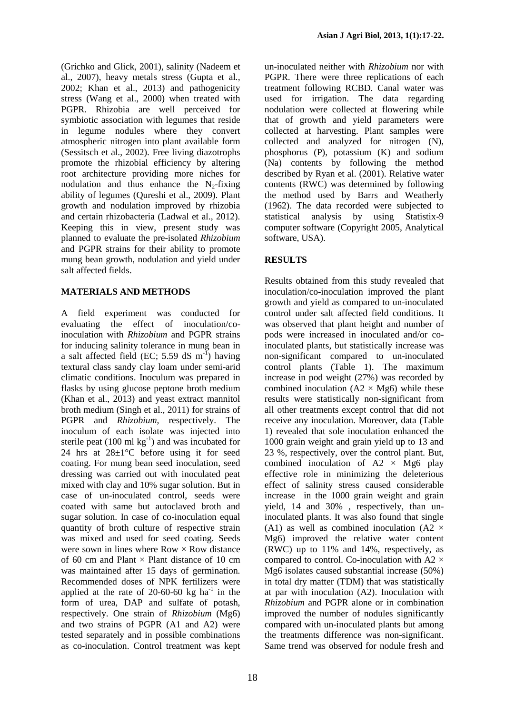(Grichko and Glick, 2001), salinity (Nadeem et al., 2007), heavy metals stress (Gupta et al*.,* 2002; Khan et al., 2013) and pathogenicity stress (Wang et al., 2000) when treated with PGPR. Rhizobia are well perceived for symbiotic association with legumes that reside in legume nodules where they convert atmospheric nitrogen into plant available form (Sessitsch et al., 2002). Free living diazotrophs promote the rhizobial efficiency by altering root architecture providing more niches for nodulation and thus enhance the  $N_2$ -fixing ability of legumes (Qureshi et al., 2009). Plant growth and nodulation improved by rhizobia and certain rhizobacteria (Ladwal et al., 2012). Keeping this in view, present study was planned to evaluate the pre-isolated *Rhizobium*  and PGPR strains for their ability to promote mung bean growth, nodulation and yield under salt affected fields.

# **MATERIALS AND METHODS**

A field experiment was conducted for evaluating the effect of inoculation/coinoculation with *Rhizobium* and PGPR strains for inducing salinity tolerance in mung bean in a salt affected field (EC; 5.59 dS  $m^{-1}$ ) having textural class sandy clay loam under semi-arid climatic conditions. Inoculum was prepared in flasks by using glucose peptone broth medium (Khan et al., 2013) and yeast extract mannitol broth medium (Singh et al., 2011) for strains of PGPR and *Rhizobium,* respectively. The inoculum of each isolate was injected into sterile peat  $(100 \text{ ml kg}^{-1})$  and was incubated for 24 hrs at 28±1°C before using it for seed coating. For mung bean seed inoculation, seed dressing was carried out with inoculated peat mixed with clay and 10% sugar solution. But in case of un-inoculated control, seeds were coated with same but autoclaved broth and sugar solution. In case of co-inoculation equal quantity of broth culture of respective strain was mixed and used for seed coating. Seeds were sown in lines where  $Row \times Row$  distance of 60 cm and Plant  $\times$  Plant distance of 10 cm was maintained after 15 days of germination. Recommended doses of NPK fertilizers were applied at the rate of  $20-60-60$  kg ha<sup>-1</sup> in the form of urea, DAP and sulfate of potash, respectively. One strain of *Rhizobium* (Mg6) and two strains of PGPR (A1 and A2) were tested separately and in possible combinations as co-inoculation. Control treatment was kept un-inoculated neither with *Rhizobium* nor with PGPR. There were three replications of each treatment following RCBD. Canal water was used for irrigation. The data regarding nodulation were collected at flowering while that of growth and yield parameters were collected at harvesting. Plant samples were collected and analyzed for nitrogen (N), phosphorus (P), potassium (K) and sodium (Na) contents by following the method described by Ryan et al. (2001). Relative water contents (RWC) was determined by following the method used by Barrs and Weatherly (1962). The data recorded were subjected to statistical analysis by using Statistix-9 computer software (Copyright 2005, Analytical software, USA).

# **RESULTS**

Results obtained from this study revealed that inoculation/co-inoculation improved the plant growth and yield as compared to un-inoculated control under salt affected field conditions. It was observed that plant height and number of pods were increased in inoculated and/or coinoculated plants, but statistically increase was non-significant compared to un-inoculated control plants (Table 1). The maximum increase in pod weight (27%) was recorded by combined inoculation  $(A2 \times Mg6)$  while these results were statistically non-significant from all other treatments except control that did not receive any inoculation. Moreover, data (Table 1) revealed that sole inoculation enhanced the 1000 grain weight and grain yield up to 13 and 23 %, respectively, over the control plant. But, combined inoculation of  $A2 \times Mg6$  play effective role in minimizing the deleterious effect of salinity stress caused considerable increase in the 1000 grain weight and grain yield, 14 and 30% , respectively, than uninoculated plants. It was also found that single (A1) as well as combined inoculation (A2  $\times$ Mg6) improved the relative water content (RWC) up to 11% and 14%, respectively, as compared to control. Co-inoculation with A2  $\times$ Mg6 isolates caused substantial increase (50%) in total dry matter (TDM) that was statistically at par with inoculation (A2). Inoculation with *Rhizobium* and PGPR alone or in combination improved the number of nodules significantly compared with un-inoculated plants but among the treatments difference was non-significant. Same trend was observed for nodule fresh and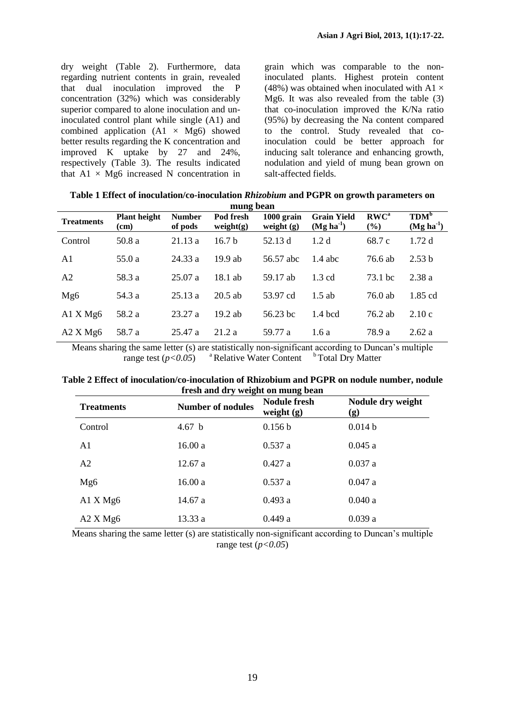dry weight (Table 2). Furthermore, data regarding nutrient contents in grain, revealed that dual inoculation improved the P concentration (32%) which was considerably superior compared to alone inoculation and uninoculated control plant while single (A1) and combined application  $(A1 \times Mg6)$  showed better results regarding the K concentration and improved K uptake by 27 and 24%, respectively (Table 3). The results indicated that  $A1 \times Mg6$  increased N concentration in grain which was comparable to the noninoculated plants. Highest protein content (48%) was obtained when inoculated with A1  $\times$ Mg6. It was also revealed from the table (3) that co-inoculation improved the K/Na ratio (95%) by decreasing the Na content compared to the control. Study revealed that coinoculation could be better approach for inducing salt tolerance and enhancing growth, nodulation and yield of mung bean grown on salt-affected fields.

| mung bean         |                                   |                          |                           |                            |                                   |                         |                                 |  |  |
|-------------------|-----------------------------------|--------------------------|---------------------------|----------------------------|-----------------------------------|-------------------------|---------------------------------|--|--|
| <b>Treatments</b> | <b>Plant height</b><br>$\rm (cm)$ | <b>Number</b><br>of pods | Pod fresh<br>weight $(g)$ | 1000 grain<br>weight $(g)$ | <b>Grain Yield</b><br>$(Mg ha-1)$ | RWC <sup>a</sup><br>(%) | TDM <sup>b</sup><br>$(Mg ha-1)$ |  |  |
| Control           | 50.8 a                            | 21.13a                   | 16.7 <sub>b</sub>         | 52.13 d                    | 1.2 <sub>d</sub>                  | 68.7 c                  | 1.72d                           |  |  |
| A1                | 55.0 a                            | 24.33a                   | $19.9$ ab                 | 56.57 abc                  | $1.4$ abc                         | 76.6 ab                 | 2.53 b                          |  |  |
| A <sub>2</sub>    | 58.3 a                            | 25.07a                   | $18.1$ ab                 | 59.17 ab                   | $1.3 \text{ cd}$                  | 73.1 bc                 | 2.38 a                          |  |  |
| Mg6               | 54.3 a                            | 25.13a                   | $20.5$ ab                 | 53.97 cd                   | $1.5$ ab                          | $76.0$ ab               | 1.85 cd                         |  |  |
| A1 X Mg6          | 58.2 a                            | 23.27a                   | $19.2$ ab                 | 56.23 hc                   | $1.4$ bcd                         | 76.2 ab                 | 2.10c                           |  |  |
| A2 X Mg6          | 58.7 a                            | 25.47 a                  | 21.2a                     | 59.77 a                    | 1.6a                              | 78.9 a                  | 2.62a                           |  |  |

**Table 1 Effect of inoculation/co-inoculation** *Rhizobium* **and PGPR on growth parameters on** 

Means sharing the same letter (s) are statistically non-significant according to Duncan's multiple range test  $(p<0.05)$ <sup>a</sup> Relative Water Content <sup>b</sup> Total Dry Matter

**Table 2 Effect of inoculation/co-inoculation of Rhizobium and PGPR on nodule number, nodule fresh and dry weight on mung bean**

| <b>Treatments</b>      | <b>Number of nodules</b> | <b>Nodule fresh</b><br>weight $(g)$ | Nodule dry weight<br>(g) |  |
|------------------------|--------------------------|-------------------------------------|--------------------------|--|
| Control                | 4.67 <sub>b</sub>        | 0.156 b                             | 0.014 b                  |  |
| A1                     | 16.00 a                  | 0.537a                              | 0.045a                   |  |
| A <sub>2</sub>         | 12.67a                   | 0.427a                              | 0.037a                   |  |
| Mg6                    | 16.00 a                  | 0.537a                              | 0.047a                   |  |
| A1 X Mg6               | 14.67 a                  | 0.493a                              | 0.040a                   |  |
| $A2$ X Mg <sub>6</sub> | 13.33 a                  | 0.449a                              | 0.039a                   |  |

Means sharing the same letter (s) are statistically non-significant according to Duncan's multiple range test  $(p<0.05)$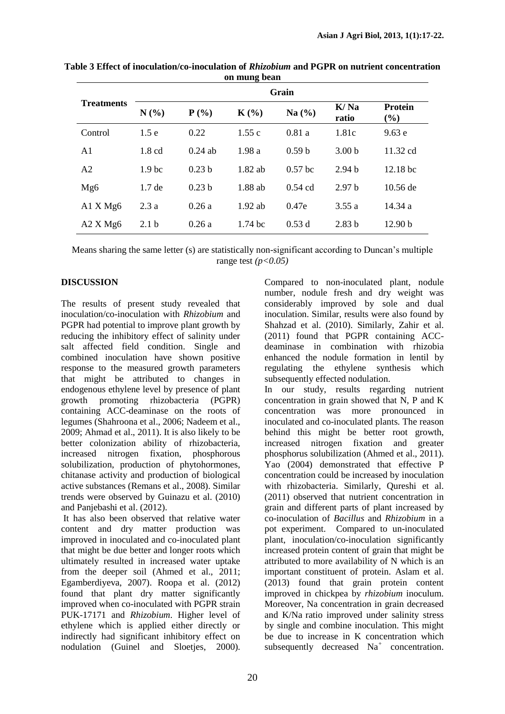|                        | Grain             |                   |                    |                   |                   |                    |  |
|------------------------|-------------------|-------------------|--------------------|-------------------|-------------------|--------------------|--|
| <b>Treatments</b>      | $N(\%)$           | $P(\%)$           | $K(\%)$            | Na $(\% )$        | K/Ma<br>ratio     | Protein<br>$(\%)$  |  |
| Control                | 1.5e              | 0.22              | 1.55c              | 0.81a             | 1.81c             | 9.63e              |  |
| A1                     | $1.8 \text{ cd}$  | $0.24$ ab         | 1.98a              | 0.59 <sub>b</sub> | 3.00 <sub>b</sub> | $11.32 \text{ cd}$ |  |
| A2                     | 1.9 <sub>bc</sub> | 0.23 <sub>b</sub> | $1.82$ ab          | $0.57$ bc         | 2.94 <sub>b</sub> | 12.18 bc           |  |
| Mg6                    | $1.7$ de          | 0.23 <sub>b</sub> | 1.88 ab            | $0.54$ cd         | 2.97 <sub>b</sub> | 10.56 de           |  |
| A1 X Mg6               | 2.3a              | 0.26a             | $1.92$ ab          | 0.47e             | 3.55a             | 14.34 a            |  |
| $A2$ X Mg <sub>6</sub> | 2.1 <sub>b</sub>  | 0.26a             | $1.74~\mathrm{bc}$ | 0.53d             | 2.83 <sub>b</sub> | 12.90 b            |  |

**Table 3 Effect of inoculation/co-inoculation of** *Rhizobium* **and PGPR on nutrient concentration on mung bean**

Means sharing the same letter (s) are statistically non-significant according to Duncan's multiple range test *(p<0.05)*

# **DISCUSSION**

The results of present study revealed that inoculation/co-inoculation with *Rhizobium* and PGPR had potential to improve plant growth by reducing the inhibitory effect of salinity under salt affected field condition. Single and combined inoculation have shown positive response to the measured growth parameters that might be attributed to changes in endogenous ethylene level by presence of plant growth promoting rhizobacteria (PGPR) containing ACC-deaminase on the roots of legumes (Shahroona et al., 2006; Nadeem et al., 2009; Ahmad et al., 2011). It is also likely to be better colonization ability of rhizobacteria, increased nitrogen fixation, phosphorous solubilization, production of phytohormones, chitanase activity and production of biological active substances (Remans et al., 2008). Similar trends were observed by Guinazu et al. (2010) and Panjebashi et al. (2012).

It has also been observed that relative water content and dry matter production was improved in inoculated and co-inoculated plant that might be due better and longer roots which ultimately resulted in increased water uptake from the deeper soil (Ahmed et al., 2011; Egamberdiyeva, 2007). Roopa et al. (2012) found that plant dry matter significantly improved when co-inoculated with PGPR strain PUK-17171 and *Rhizobium*. Higher level of ethylene which is applied either directly or indirectly had significant inhibitory effect on nodulation (Guinel and Sloeties, 2000). Compared to non-inoculated plant, nodule number, nodule fresh and dry weight was considerably improved by sole and dual inoculation. Similar, results were also found by Shahzad et al. (2010). Similarly, Zahir et al. (2011) found that PGPR containing ACCdeaminase in combination with rhizobia enhanced the nodule formation in lentil by regulating the ethylene synthesis which subsequently effected nodulation.

In our study, results regarding nutrient concentration in grain showed that N, P and K concentration was more pronounced in inoculated and co-inoculated plants. The reason behind this might be better root growth, increased nitrogen fixation and greater phosphorus solubilization (Ahmed et al., 2011). Yao (2004) demonstrated that effective P concentration could be increased by inoculation with rhizobacteria. Similarly, Qureshi et al. (2011) observed that nutrient concentration in grain and different parts of plant increased by co-inoculation of *Bacillus* and *Rhizobium* in a pot experiment. Compared to un-inoculated plant, inoculation/co-inoculation significantly increased protein content of grain that might be attributed to more availability of N which is an important constituent of protein. Aslam et al. (2013) found that grain protein content improved in chickpea by *rhizobium* inoculum. Moreover, Na concentration in grain decreased and K/Na ratio improved under salinity stress by single and combine inoculation. This might be due to increase in K concentration which subsequently decreased Na<sup>+</sup> concentration.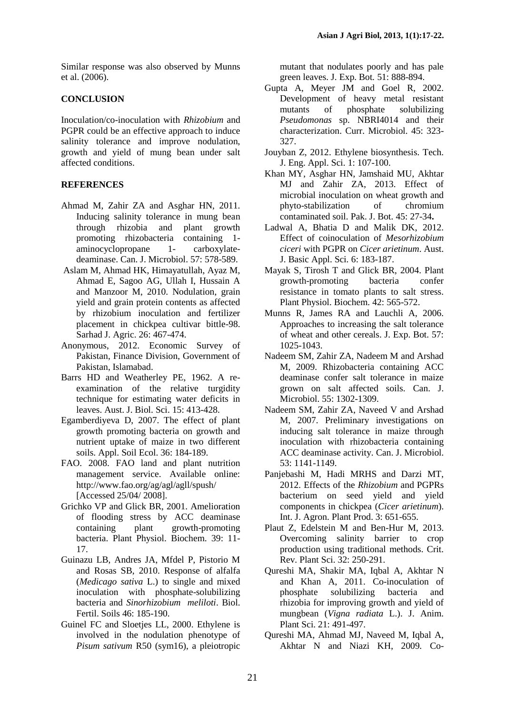Similar response was also observed by Munns et al. (2006).

#### **CONCLUSION**

Inoculation/co-inoculation with *Rhizobium* and PGPR could be an effective approach to induce salinity tolerance and improve nodulation, growth and yield of mung bean under salt affected conditions.

### **REFERENCES**

- Ahmad M, Zahir ZA and Asghar HN, 2011. Inducing salinity tolerance in mung bean through rhizobia and plant growth promoting rhizobacteria containing 1 aminocyclopropane 1- carboxylatedeaminase. Can. J. Microbiol. 57: 578-589.
- Aslam M, Ahmad HK, Himayatullah, Ayaz M, Ahmad E, Sagoo AG, Ullah I, Hussain A and Manzoor M, 2010. Nodulation, grain yield and grain protein contents as affected by rhizobium inoculation and fertilizer placement in chickpea cultivar bittle-98. Sarhad J. Agric. 26: 467-474.
- Anonymous, 2012. Economic Survey of Pakistan, Finance Division, Government of Pakistan, Islamabad.
- Barrs HD and Weatherley PE, 1962. A reexamination of the relative turgidity technique for estimating water deficits in leaves. Aust. J. Biol. Sci. 15: 413-428.
- Egamberdiyeva D, 2007. The effect of plant growth promoting bacteria on growth and nutrient uptake of maize in two different soils. Appl. Soil Ecol. 36: 184-189.
- FAO. 2008. FAO land and plant nutrition management service. Available online: <http://www.fao.org/ag/agl/agll/spush/> [Accessed 25/04/ 2008].
- Grichko VP and Glick BR, 2001. Amelioration of flooding stress by ACC deaminase containing plant growth-promoting bacteria. Plant Physiol. Biochem. 39: 11- 17.
- Guinazu LB, Andres JA, Mfdel P, Pistorio M and Rosas SB, 2010. Response of alfalfa (*Medicago sativa* L.) to single and mixed inoculation with phosphate-solubilizing bacteria and *Sinorhizobium meliloti*. Biol. Fertil. Soils 46: 185-190.
- Guinel FC and Sloetjes LL, 2000. Ethylene is involved in the nodulation phenotype of *Pisum sativum* R50 (sym16), a pleiotropic

mutant that nodulates poorly and has pale green leaves. J. Exp. Bot*.* 51: 888-894.

- Gupta A, Meyer JM and Goel R, 2002. Development of heavy metal resistant mutants of phosphate solubilizing *Pseudomonas* sp. NBRI4014 and their characterization. Curr. Microbiol. 45: 323- 327.
- Jouyban Z, 2012. Ethylene biosynthesis. Tech. J. Eng. Appl. Sci. 1: 107-100.
- Khan MY, Asghar HN, Jamshaid MU, Akhtar MJ and Zahir ZA, 2013. Effect of microbial inoculation on wheat growth and phyto-stabilization of chromium contaminated soil. Pak. J. Bot. 45: 27-34**.**
- Ladwal A, Bhatia D and Malik DK, 2012. Effect of coinoculation of *Mesorhizobium ciceri* with PGPR on *Cicer arietinum*. Aust. J. Basic Appl. Sci*.* 6: 183-187.
- Mayak S, Tirosh T and Glick BR, 2004. Plant growth-promoting bacteria confer resistance in tomato plants to salt stress. Plant Physiol. Biochem. 42: 565-572.
- Munns R, James RA and Lauchli A, 2006. Approaches to increasing the salt tolerance of wheat and other cereals. J. Exp. Bot. 57: 1025-1043.
- Nadeem SM, Zahir ZA, Nadeem M and Arshad M, 2009. Rhizobacteria containing ACC deaminase confer salt tolerance in maize grown on salt affected soils. Can. J. Microbiol. 55: 1302-1309.
- Nadeem SM, Zahir ZA, Naveed V and Arshad M, 2007. Preliminary investigations on inducing salt tolerance in maize through inoculation with rhizobacteria containing ACC deaminase activity. Can. J. Microbiol. 53: 1141-1149.
- Panjebashi M, Hadi MRHS and Darzi MT, 2012. Effects of the *Rhizobium* and PGPRs bacterium on seed yield and yield components in chickpea (*Cicer arietinum*). Int. J. Agron. Plant Prod. 3: 651-655.
- Plaut Z, Edelstein M and Ben-Hur M, 2013. Overcoming salinity barrier to crop production using traditional methods. Crit. Rev. Plant Sci. 32: 250-291.
- Qureshi MA, Shakir MA, Iqbal A, Akhtar N and Khan A, 2011. Co-inoculation of phosphate solubilizing bacteria and rhizobia for improving growth and yield of mungbean (*Vigna radiata* L.). J. Anim. Plant Sci. 21: 491-497.
- Qureshi MA, Ahmad MJ, Naveed M, Iqbal A, Akhtar N and Niazi KH, 2009*.* Co-